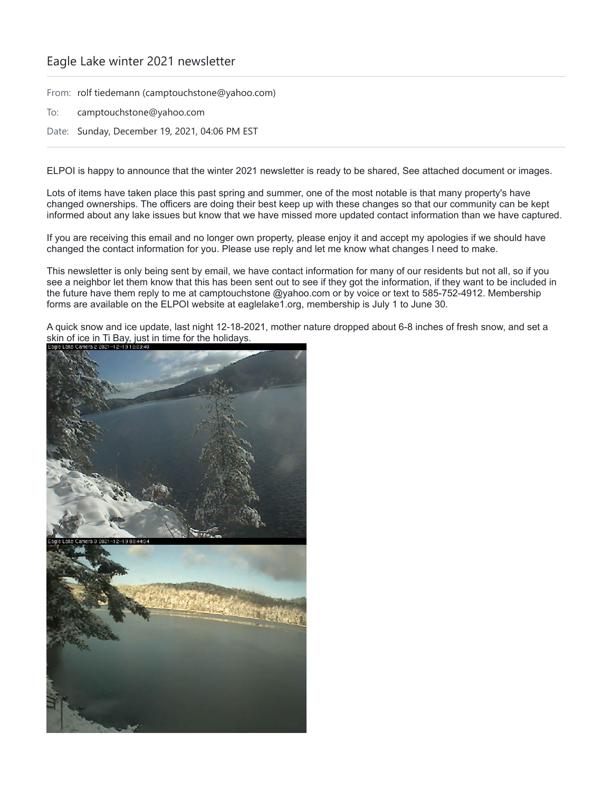## Eagle Lake winter 2021 newsletter

From: rolf tiedemann (camptouchstone@yahoo.com)

- To: camptouchstone@yahoo.com
- Date: Sunday, December 19, 2021, 04:06 PM EST

ELPOI is happy to announce that the winter 2021 newsletter is ready to be shared, See attached document or images.

Lots of items have taken place this past spring and summer, one of the most notable is that many property's have changed ownerships. The officers are doing their best keep up with these changes so that our community can be kept informed about any lake issues but know that we have missed more updated contact information than we have captured.

If you are receiving this email and no longer own property, please enjoy it and accept my apologies if we should have changed the contact information for you. Please use reply and let me know what changes I need to make.

This newsletter is only being sent by email, we have contact information for many of our residents but not all, so if you see a neighbor let them know that this has been sent out to see if they got the information, if they want to be included in the future have them reply to me at camptouchstone @yahoo.com or by voice or text to 585-752-4912. Membership forms are available on the ELPOI website at eaglelake1.org, membership is July 1 to June 30.

A quick snow and ice update, last night 12-18-2021, mother nature dropped about 6-8 inches of fresh snow, and set a skin of ice in Ti Bay, just in time for the holidays.

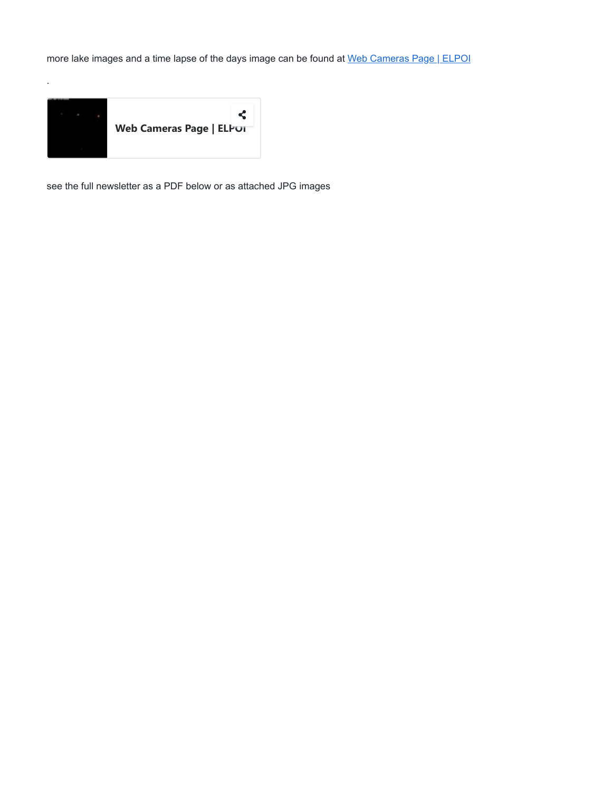more lake images and a time lapse of the days image can be found at [Web Cameras Page | ELPOI](http://www.eaglelake1.org/html/video/webcam.shtml)



.

see the full newsletter as a PDF below or as attached JPG images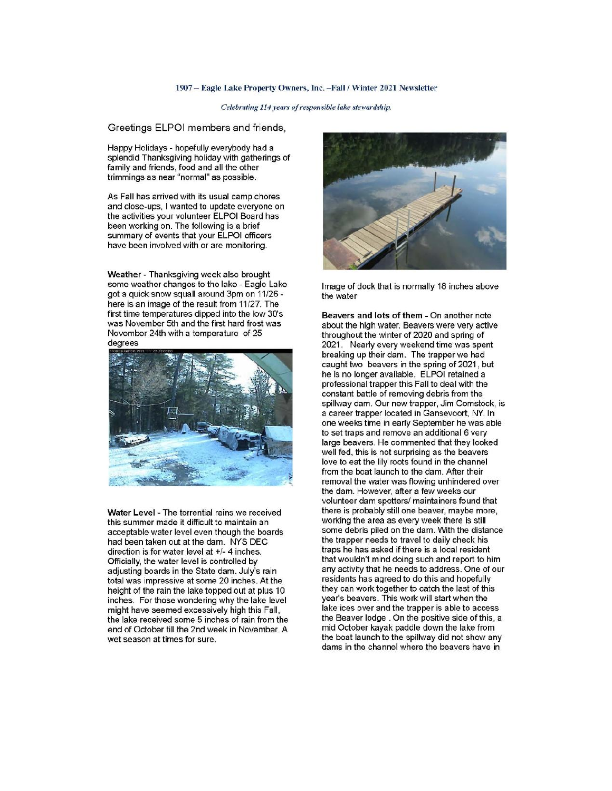## 1907 - Eagle Lake Property Owners, Inc. - Fall / Winter 2021 Newsletter

## Celebrating 114 years of responsible lake stewardship.

Greetings ELPOI members and friends,

Happy Holidays - hopefully everybody had a splendid Thanksgiving holiday with gatherings of family and friends, food and all the other trimmings as near "normal" as possible.

As Fall has arrived with its usual camp chores and close-ups, I wanted to update everyone on the activities your volunteer ELPOI Board has been working on. The following is a brief summary of events that your ELPOI officers have been involved with or are monitoring.

Weather - Thanksgiving week also brought some weather changes to the lake - Eagle Lake got a quick snow squall around 3pm on 11/26 here is an image of the result from 11/27. The first time temperatures dipped into the low 30's was November 5th and the first hard frost was November 24th with a temperature of 25 degrees



Water Level - The torrential rains we received this summer made it difficult to maintain an acceptable water level even though the boards had been taken out at the dam. NYS DEC direction is for water level at +/- 4 inches. Officially, the water level is controlled by adjusting boards in the State dam. July's rain total was impressive at some 20 inches. At the height of the rain the lake topped out at plus 10 inches. For those wondering why the lake level might have seemed excessively high this Fall, the lake received some 5 inches of rain from the end of October till the 2nd week in November. A wet season at times for sure.



Image of dock that is normally 18 inches above the water

Beavers and lots of them - On another note about the high water. Beavers were very active throughout the winter of 2020 and spring of 2021. Nearly every weekend time was spent breaking up their dam. The trapper we had caught two beavers in the spring of 2021, but he is no longer available. ELPOI retained a professional trapper this Fall to deal with the constant battle of removing debris from the spillway dam. Our new trapper, Jim Comstock, is a career trapper located in Gansevoort, NY. In one weeks time in early September he was able to set traps and remove an additional 6 very large beavers. He commented that they looked well fed, this is not surprising as the beavers love to eat the lily roots found in the channel from the boat launch to the dam. After their removal the water was flowing unhindered over the dam. However, after a few weeks our volunteer dam spotters/ maintainers found that there is probably still one beaver, maybe more, working the area as every week there is still some debris piled on the dam. With the distance the trapper needs to travel to daily check his traps he has asked if there is a local resident that wouldn't mind doing such and report to him any activity that he needs to address. One of our residents has agreed to do this and hopefully they can work together to catch the last of this year's beavers. This work will start when the lake ices over and the trapper is able to access the Beaver lodge. On the positive side of this, a mid October kayak paddle down the lake from the boat launch to the spillway did not show any dams in the channel where the beavers have in